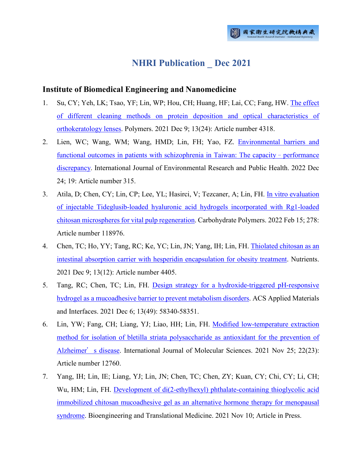# **NHRI Publication \_ Dec 2021**

#### **Institute of Biomedical Engineering and Nanomedicine**

- 1. Su, CY; Yeh, LK; Tsao, YF; Lin, WP; Hou, CH; Huang, HF; Lai, CC; Fang, HW. [The effect](http://ir.nhri.org.tw/handle/3990099045/13922)  [of different cleaning methods on protein deposition and optical characteristics of](http://ir.nhri.org.tw/handle/3990099045/13922)  [orthokeratology lenses.](http://ir.nhri.org.tw/handle/3990099045/13922) Polymers. 2021 Dec 9; 13(24): Article number 4318.
- 2. Lien, WC; Wang, WM; Wang, HMD; Lin, FH; Yao, FZ. [Environmental barriers and](http://ir.nhri.org.tw/handle/3990099045/13923)  [functional outcomes in patients with schizophrenia in Taiwan: The capacity](http://ir.nhri.org.tw/handle/3990099045/13923) – performance [discrepancy.](http://ir.nhri.org.tw/handle/3990099045/13923) International Journal of Environmental Research and Public Health. 2022 Dec 24; 19: Article number 315.
- 3. Atila, D; Chen, CY; Lin, CP; Lee, YL; Hasirci, V; Tezcaner, A; Lin, FH. [In vitro evaluation](http://ir.nhri.org.tw/handle/3990099045/13924)  [of injectable Tideglusib-loaded hyaluronic acid hydrogels incorporated with Rg1-loaded](http://ir.nhri.org.tw/handle/3990099045/13924)  [chitosan microspheres for vital pulp regeneration.](http://ir.nhri.org.tw/handle/3990099045/13924) Carbohydrate Polymers. 2022 Feb 15; 278: Article number 118976.
- 4. Chen, TC; Ho, YY; Tang, RC; Ke, YC; Lin, JN; Yang, IH; Lin, FH. [Thiolated chitosan as an](http://ir.nhri.org.tw/handle/3990099045/13925)  [intestinal absorption carrier with hesperidin encapsulation for obesity treatment.](http://ir.nhri.org.tw/handle/3990099045/13925) Nutrients. 2021 Dec 9; 13(12): Article number 4405.
- 5. Tang, RC; Chen, TC; Lin, FH. [Design strategy for a hydroxide-triggered pH-responsive](http://ir.nhri.org.tw/handle/3990099045/13926)  [hydrogel as a mucoadhesive barrier to prevent metabolism disorders.](http://ir.nhri.org.tw/handle/3990099045/13926) ACS Applied Materials and Interfaces. 2021 Dec 6; 13(49): 58340-58351.
- 6. Lin, YW; Fang, CH; Liang, YJ; Liao, HH; Lin, FH. [Modified low-temperature extraction](http://ir.nhri.org.tw/handle/3990099045/13927)  [method for isolation of bletilla striata polysaccharide as antioxidant for the prevention of](http://ir.nhri.org.tw/handle/3990099045/13927)  [Alzheimer](http://ir.nhri.org.tw/handle/3990099045/13927)'s disease. International Journal of Molecular Sciences. 2021 Nov 25; 22(23): Article number 12760.
- 7. Yang, IH; Lin, IE; Liang, YJ; Lin, JN; Chen, TC; Chen, ZY; Kuan, CY; Chi, CY; Li, CH; Wu, HM; Lin, FH. [Development of di\(2-ethylhexyl\) phthalate-containing thioglycolic acid](http://ir.nhri.org.tw/handle/3990099045/13928)  [immobilized chitosan mucoadhesive gel as an alternative hormone therapy for menopausal](http://ir.nhri.org.tw/handle/3990099045/13928)  [syndrome.](http://ir.nhri.org.tw/handle/3990099045/13928) Bioengineering and Translational Medicine. 2021 Nov 10; Article in Press.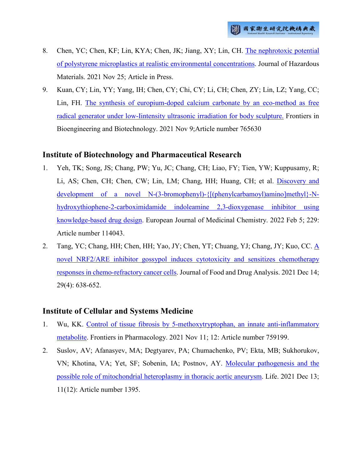- 8. Chen, YC; Chen, KF; Lin, KYA; Chen, JK; Jiang, XY; Lin, CH. [The nephrotoxic potential](http://ir.nhri.org.tw/handle/3990099045/13929)  [of polystyrene microplastics at realistic environmental concentrations.](http://ir.nhri.org.tw/handle/3990099045/13929) Journal of Hazardous Materials. 2021 Nov 25; Article in Press.
- 9. Kuan, CY; Lin, YY; Yang, IH; Chen, CY; Chi, CY; Li, CH; Chen, ZY; Lin, LZ; Yang, CC; Lin, FH. [The synthesis of europium-doped calcium carbonate by an eco-method as free](http://ir.nhri.org.tw/handle/3990099045/13932)  [radical generator under low-Iintensity ultrasonic irradiation for body sculpture.](http://ir.nhri.org.tw/handle/3990099045/13932) Frontiers in Bioengineering and Biotechnology. 2021 Nov 9;Article number 765630

# **Institute of Biotechnology and Pharmaceutical Research**

- 1. Yeh, TK; Song, JS; Chang, PW; Yu, JC; Chang, CH; Liao, FY; Tien, YW; Kuppusamy, R; Li, AS; Chen, CH; Chen, CW; Lin, LM; Chang, HH; Huang, CH; et al. [Discovery and](http://ir.nhri.org.tw/handle/3990099045/13875)  [development of a novel N-\(3-bromophenyl\)-{\[\(phenylcarbamoyl\)amino\]methyl}-N](http://ir.nhri.org.tw/handle/3990099045/13875)[hydroxythiophene-2-carboximidamide indoleamine 2,3-dioxygenase inhibitor using](http://ir.nhri.org.tw/handle/3990099045/13875)  [knowledge-based drug design.](http://ir.nhri.org.tw/handle/3990099045/13875) European Journal of Medicinal Chemistry. 2022 Feb 5; 229: Article number 114043.
- 2. Tang, YC; Chang, HH; Chen, HH; Yao, JY; Chen, YT; Chuang, YJ; Chang, JY; Kuo, CC. [A](http://ir.nhri.org.tw/handle/3990099045/13876)  [novel NRF2/ARE inhibitor gossypol induces cytotoxicity and sensitizes chemotherapy](http://ir.nhri.org.tw/handle/3990099045/13876)  [responses in chemo-refractory cancer cells.](http://ir.nhri.org.tw/handle/3990099045/13876) Journal of Food and Drug Analysis. 2021 Dec 14; 29(4): 638-652.

# **Institute of Cellular and Systems Medicine**

- 1. Wu, KK. [Control of tissue fibrosis by 5-methoxytryptophan, an innate anti-inflammatory](http://ir.nhri.org.tw/handle/3990099045/13882)  [metabolite.](http://ir.nhri.org.tw/handle/3990099045/13882) Frontiers in Pharmacology. 2021 Nov 11; 12: Article number 759199.
- 2. Suslov, AV; Afanasyev, MA; Degtyarev, PA; Chumachenko, PV; Ekta, MB; Sukhorukov, VN; Khotina, VA; Yet, SF; Sobenin, IA; Postnov, AY. [Molecular pathogenesis and the](http://ir.nhri.org.tw/handle/3990099045/13884)  [possible role of mitochondrial heteroplasmy in thoracic aortic aneurysm.](http://ir.nhri.org.tw/handle/3990099045/13884) Life. 2021 Dec 13; 11(12): Article number 1395.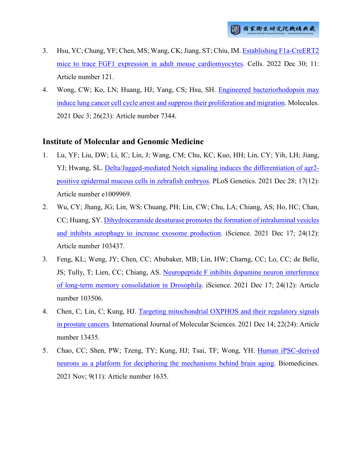- 3. Hsu, YC; Chung, YF; Chen, MS; Wang, CK; Jiang, ST; Chiu, IM. [Establishing F1a-CreERT2](http://ir.nhri.org.tw/handle/3990099045/13885)  [mice to trace FGF1 expression in adult mouse cardiomyocytes.](http://ir.nhri.org.tw/handle/3990099045/13885) Cells. 2022 Dec 30; 11: Article number 121.
- 4. Wong, CW; Ko, LN; Huang, HJ; Yang, CS; Hsu, SH. [Engineered bacteriorhodopsin may](http://ir.nhri.org.tw/handle/3990099045/13886)  [induce lung cancer cell cycle arrest and suppress their proliferation and migration.](http://ir.nhri.org.tw/handle/3990099045/13886) Molecules. 2021 Dec 3; 26(23): Article number 7344.

#### **Institute of Molecular and Genomic Medicine**

- 1. Lu, YF; Liu, DW; Li, IC; Lin, J; Wang, CM; Chu, KC; Kuo, HH; Lin, CY; Yih, LH; Jiang, YJ; Hwang, SL. [Delta/Jagged-mediated Notch signaling induces the differentiation of agr2](http://ir.nhri.org.tw/handle/3990099045/13870) [positive epidermal mucous cells in zebrafish embryos.](http://ir.nhri.org.tw/handle/3990099045/13870) PLoS Genetics. 2021 Dec 28; 17(12): Article number e1009969.
- 2. Wu, CY; Jhang, JG; Lin, WS; Chuang, PH; Lin, CW; Chu, LA; Chiang, AS; Ho, HC; Chan, CC; Huang, SY. [Dihydroceramide desaturase promotes the formation of intraluminal vesicles](http://ir.nhri.org.tw/handle/3990099045/13871)  [and inhibits autophagy to increase exosome production.](http://ir.nhri.org.tw/handle/3990099045/13871) iScience. 2021 Dec 17; 24(12): Article number 103437.
- 3. Feng, KL; Weng, JY; Chen, CC; Abubaker, MB; Lin, HW; Charng, CC; Lo, CC; de Belle, JS; Tully, T; Lien, CC; Chiang, AS. [Neuropeptide F inhibits dopamine neuron interference](http://ir.nhri.org.tw/handle/3990099045/13872)  [of long-term memory consolidation in Drosophila.](http://ir.nhri.org.tw/handle/3990099045/13872) iScience. 2021 Dec 17; 24(12): Article number 103506.
- 4. Chen, C; Lin, C; Kung, HJ. [Targeting mitochondrial OXPHOS and their regulatory signals](http://ir.nhri.org.tw/handle/3990099045/13873)  [in prostate cancers.](http://ir.nhri.org.tw/handle/3990099045/13873) International Journal of Molecular Sciences. 2021 Dec 14; 22(24): Article number 13435.
- 5. Chao, CC; Shen, PW; Tzeng, TY; Kung, HJ; Tsai, TF; Wong, YH. [Human iPSC-derived](http://ir.nhri.org.tw/handle/3990099045/13874)  [neurons as a platform for deciphering the mechanisms behind brain aging.](http://ir.nhri.org.tw/handle/3990099045/13874) Biomedicines. 2021 Nov; 9(11): Article number 1635.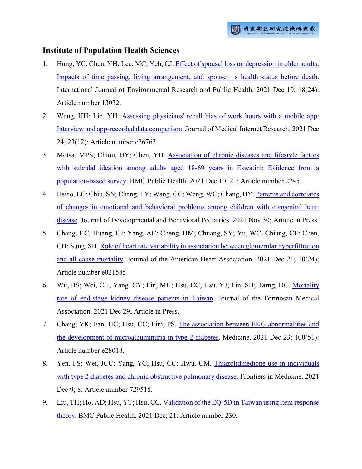#### **Institute of Population Health Sciences**

- 1. Hung, YC; Chen, YH; Lee, MC; Yeh, CJ[. Effect of spousal loss on depression in older adults:](http://ir.nhri.org.tw/handle/3990099045/13892)  [Impacts of time passing, living arrangement, and spouse](http://ir.nhri.org.tw/handle/3990099045/13892)'s health status before death. International Journal of Environmental Research and Public Health. 2021 Dec 10; 18(24): Article number 13032.
- 2. Wang, HH; Lin, YH. [Assessing physicians' recall bias of work hours with a mobile app:](http://ir.nhri.org.tw/handle/3990099045/13893)  [Interview and app-recorded data comparison.](http://ir.nhri.org.tw/handle/3990099045/13893) Journal of Medical Internet Research. 2021 Dec 24; 23(12): Article number e26763.
- 3. Motsa, MPS; Chiou, HY; Chen, YH. [Association of chronic diseases and lifestyle factors](http://ir.nhri.org.tw/handle/3990099045/13894)  [with suicidal ideation among adults aged 18-69 years in Eswatini: Evidence from a](http://ir.nhri.org.tw/handle/3990099045/13894)  [population-based survey.](http://ir.nhri.org.tw/handle/3990099045/13894) BMC Public Health. 2021 Dec 10; 21: Article number 2245.
- 4. Hsiao, LC; Chiu, SN; Chang, LY; Wang, CC; Weng, WC; Chang, HY[. Patterns and correlates](http://ir.nhri.org.tw/handle/3990099045/13895)  [of changes in emotional and behavioral problems among children with congenital heart](http://ir.nhri.org.tw/handle/3990099045/13895)  [disease.](http://ir.nhri.org.tw/handle/3990099045/13895) Journal of Developmental and Behavioral Pediatrics. 2021 Nov 30; Article in Press.
- 5. Chang, HC; Huang, CJ; Yang, AC; Cheng, HM; Chuang, SY; Yu, WC; Chiang, CE; Chen, CH; Sung, SH. [Role of heart rate variability in association between glomerular hyperfiltration](http://ir.nhri.org.tw/handle/3990099045/13896)  [and all-cause mortality.](http://ir.nhri.org.tw/handle/3990099045/13896) Journal of the American Heart Association. 2021 Dec 21; 10(24): Article number e021585.
- 6. Wu, BS; Wei, CH; Yang, CY; Lin, MH; Hsu, CC; Hsu, YJ; Lin, SH; Tarng, DC. [Mortality](http://ir.nhri.org.tw/handle/3990099045/13897)  [rate of end-stage kidney disease patients in Taiwan.](http://ir.nhri.org.tw/handle/3990099045/13897) Journal of the Formosan Medical Association. 2021 Dec 29; Article in Press.
- 7. Chang, YK; Fan, HC; Hsu, CC; Lim, PS. [The association between EKG abnormalities and](http://ir.nhri.org.tw/handle/3990099045/13898)  [the development of microalbuminuria in type 2 diabetes.](http://ir.nhri.org.tw/handle/3990099045/13898) Medicine. 2021 Dec 23; 100(51): Article number e28018.
- 8. Yen, FS; Wei, JCC; Yang, YC; Hsu, CC; Hwu, CM. [Thiazolidinedione use in individuals](http://ir.nhri.org.tw/handle/3990099045/13899)  [with type 2 diabetes and chronic obstructive pulmonary disease.](http://ir.nhri.org.tw/handle/3990099045/13899) Frontiers in Medicine. 2021 Dec 9; 8: Article number 729518.
- 9. Liu, TH; Ho, AD; Hsu, YT; Hsu, CC. [Validation of the EQ-5D in Taiwan using item response](http://ir.nhri.org.tw/handle/3990099045/13900)  [theory.](http://ir.nhri.org.tw/handle/3990099045/13900) BMC Public Health. 2021 Dec; 21: Article number 230.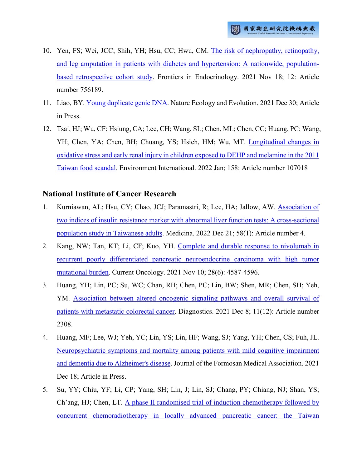- 10. Yen, FS; Wei, JCC; Shih, YH; Hsu, CC; Hwu, CM. [The risk of nephropathy, retinopathy,](http://ir.nhri.org.tw/handle/3990099045/13901)  [and leg amputation in patients with diabetes and hypertension: A nationwide, population](http://ir.nhri.org.tw/handle/3990099045/13901)[based retrospective cohort study.](http://ir.nhri.org.tw/handle/3990099045/13901) Frontiers in Endocrinology. 2021 Nov 18; 12: Article number 756189.
- 11. Liao, BY. [Young duplicate genic DNA.](http://ir.nhri.org.tw/handle/3990099045/13903) Nature Ecology and Evolution. 2021 Dec 30; Article in Press.
- 12. Tsai, HJ; Wu, CF; Hsiung, CA; Lee, CH; Wang, SL; Chen, ML; Chen, CC; Huang, PC; Wang, YH; Chen, YA; Chen, BH; Chuang, YS; Hsieh, HM; Wu, MT. [Longitudinal changes in](http://ir.nhri.org.tw/handle/3990099045/13904)  [oxidative stress and early renal injury in children exposed to DEHP and melamine in the 2011](http://ir.nhri.org.tw/handle/3990099045/13904)  [Taiwan food scandal.](http://ir.nhri.org.tw/handle/3990099045/13904) Environment International. 2022 Jan; 158: Article number 107018

#### **National Institute of Cancer Research**

- 1. Kurniawan, AL; Hsu, CY; Chao, JCJ; Paramastri, R; Lee, HA; Jallow, AW. [Association of](http://ir.nhri.org.tw/handle/3990099045/13915)  [two indices of insulin resistance marker with abnormal liver function tests: A cross-sectional](http://ir.nhri.org.tw/handle/3990099045/13915)  [population study in Taiwanese adults.](http://ir.nhri.org.tw/handle/3990099045/13915) Medicina. 2022 Dec 21; 58(1): Article number 4.
- 2. Kang, NW; Tan, KT; Li, CF; Kuo, YH. [Complete and durable response to nivolumab in](http://ir.nhri.org.tw/handle/3990099045/13916)  [recurrent poorly differentiated pancreatic neuroendocrine carcinoma with high tumor](http://ir.nhri.org.tw/handle/3990099045/13916)  [mutational burden.](http://ir.nhri.org.tw/handle/3990099045/13916) Current Oncology. 2021 Nov 10; 28(6): 4587-4596.
- 3. Huang, YH; Lin, PC; Su, WC; Chan, RH; Chen, PC; Lin, BW; Shen, MR; Chen, SH; Yeh, YM. [Association between altered oncogenic signaling pathways and overall survival of](http://ir.nhri.org.tw/handle/3990099045/13918)  [patients with metastatic colorectal cancer.](http://ir.nhri.org.tw/handle/3990099045/13918) Diagnostics. 2021 Dec 8; 11(12): Article number 2308.
- 4. Huang, MF; Lee, WJ; Yeh, YC; Lin, YS; Lin, HF; Wang, SJ; Yang, YH; Chen, CS; Fuh, JL. [Neuropsychiatric symptoms and mortality among patients with mild cognitive impairment](http://ir.nhri.org.tw/handle/3990099045/13919)  [and dementia due to Alzheimer's disease.](http://ir.nhri.org.tw/handle/3990099045/13919) Journal of the Formosan Medical Association. 2021 Dec 18; Article in Press.
- 5. Su, YY; Chiu, YF; Li, CP; Yang, SH; Lin, J; Lin, SJ; Chang, PY; Chiang, NJ; Shan, YS; Ch'ang, HJ; Chen, LT. [A phase II randomised trial of induction chemotherapy followed by](http://ir.nhri.org.tw/handle/3990099045/13920)  [concurrent chemoradiotherapy in locally advanced pancreatic cancer: the Taiwan](http://ir.nhri.org.tw/handle/3990099045/13920)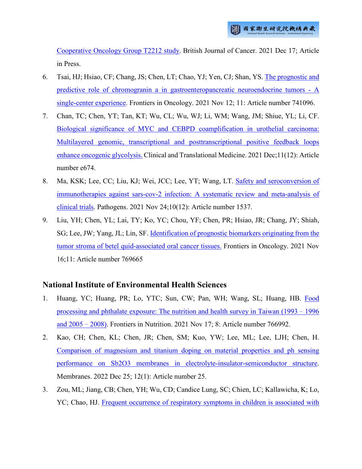[Cooperative Oncology Group T2212 study.](http://ir.nhri.org.tw/handle/3990099045/13920) British Journal of Cancer. 2021 Dec 17; Article in Press.

- 6. Tsai, HJ; Hsiao, CF; Chang, JS; Chen, LT; Chao, YJ; Yen, CJ; Shan, YS. [The prognostic and](http://ir.nhri.org.tw/handle/3990099045/13921)  [predictive role of chromogranin a in gastroenteropancreatic neuroendocrine tumors -](http://ir.nhri.org.tw/handle/3990099045/13921) A [single-center experience.](http://ir.nhri.org.tw/handle/3990099045/13921) Frontiers in Oncology. 2021 Nov 12; 11: Article number 741096.
- 7. Chan, TC; Chen, YT; Tan, KT; Wu, CL; Wu, WJ; Li, WM; Wang, JM; Shiue, YL; Li, CF. [Biological significance of MYC and CEBPD coamplification in urothelial carcinoma:](http://ir.nhri.org.tw/handle/3990099045/13931)  [Multilayered genomic, transcriptional and posttranscriptional positive feedback loops](http://ir.nhri.org.tw/handle/3990099045/13931)  [enhance oncogenic glycolysis.](http://ir.nhri.org.tw/handle/3990099045/13931) Clinical and Translational Medicine. 2021 Dec;11(12): Article number e674.
- 8. Ma, KSK; Lee, CC; Liu, KJ; Wei, JCC; Lee, YT; Wang, LT. [Safety and seroconversion of](http://ir.nhri.org.tw/handle/3990099045/13933)  [immunotherapies against sars-cov-2 infection: A systematic review and meta-analysis of](http://ir.nhri.org.tw/handle/3990099045/13933)  [clinical trials.](http://ir.nhri.org.tw/handle/3990099045/13933) Pathogens. 2021 Nov 24;10(12): Article number 1537.
- 9. Liu, YH; Chen, YL; Lai, TY; Ko, YC; Chou, YF; Chen, PR; Hsiao, JR; Chang, JY; Shiah, SG; Lee, JW; Yang, JL; Lin, SF. [Identification of prognostic biomarkers originating from the](http://ir.nhri.org.tw/handle/3990099045/13934)  [tumor stroma of betel quid-associated oral cancer tissues.](http://ir.nhri.org.tw/handle/3990099045/13934) Frontiers in Oncology. 2021 Nov 16;11: Article number 769665

#### **National Institute of Environmental Health Sciences**

- 1. Huang, YC; Huang, PR; Lo, YTC; Sun, CW; Pan, WH; Wang, SL; Huang, HB. Food [processing and phthalate exposure: The nutrition and health survey in Taiwan \(1993](http://ir.nhri.org.tw/handle/3990099045/13909)–1996 [and 2005](http://ir.nhri.org.tw/handle/3990099045/13909)–2008). Frontiers in Nutrition. 2021 Nov 17; 8: Article number 766992.
- 2. Kao, CH; Chen, KL; Chen, JR; Chen, SM; Kuo, YW; Lee, ML; Lee, LJH; Chen, H. [Comparison of magnesium and titanium doping on material properties and ph sensing](http://ir.nhri.org.tw/handle/3990099045/13910)  [performance on Sb2O3 membranes in electrolyte-insulator-semiconductor structure.](http://ir.nhri.org.tw/handle/3990099045/13910) Membranes. 2022 Dec 25; 12(1): Article number 25.
- 3. Zou, ML; Jiang, CB; Chen, YH; Wu, CD; Candice Lung, SC; Chien, LC; Kallawicha, K; Lo, YC; Chao, HJ. [Frequent occurrence of respiratory symptoms in children is associated with](http://ir.nhri.org.tw/handle/3990099045/13911)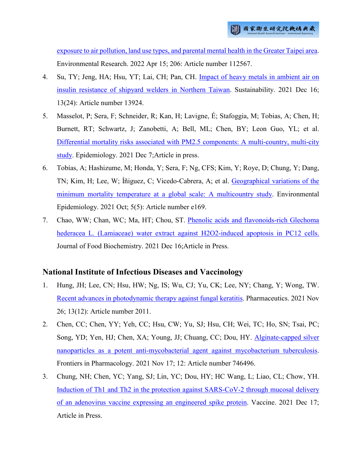[exposure to air pollution, land use types, and parental mental health in the Greater Taipei area.](http://ir.nhri.org.tw/handle/3990099045/13911) Environmental Research. 2022 Apr 15; 206: Article number 112567.

- 4. Su, TY; Jeng, HA; Hsu, YT; Lai, CH; Pan, CH. [Impact of heavy metals in ambient air on](http://ir.nhri.org.tw/handle/3990099045/13912)  [insulin resistance of shipyard welders in Northern Taiwan.](http://ir.nhri.org.tw/handle/3990099045/13912) Sustainability. 2021 Dec 16; 13(24): Article number 13924.
- 5. Masselot, P; Sera, F; Schneider, R; Kan, H; Lavigne, É; Stafoggia, M; Tobias, A; Chen, H; Burnett, RT; Schwartz, J; Zanobetti, A; Bell, ML; Chen, BY; Leon Guo, YL; et al. [Differential mortality risks associated with PM2.5 components: A multi-country, multi-city](http://ir.nhri.org.tw/handle/3990099045/13913)  [study.](http://ir.nhri.org.tw/handle/3990099045/13913) Epidemiology. 2021 Dec 7;Article in press.
- 6. Tobías, A; Hashizume, M; Honda, Y; Sera, F; Ng, CFS; Kim, Y; Roye, D; Chung, Y; Dang, TN; Kim, H; Lee, W; Íñiguez, C; Vicedo-Cabrera, A; et al. [Geographical variations of the](http://ir.nhri.org.tw/handle/3990099045/13914)  [minimum mortality temperature at a global scale: A multicountry study.](http://ir.nhri.org.tw/handle/3990099045/13914) Environmental Epidemiology. 2021 Oct; 5(5): Article number e169.
- 7. Chao, WW; Chan, WC; Ma, HT; Chou, ST. [Phenolic acids and flavonoids-rich Glechoma](http://ir.nhri.org.tw/handle/3990099045/13930)  [hederacea L. \(Lamiaceae\) water extract against H2O2-induced apoptosis in PC12 cells.](http://ir.nhri.org.tw/handle/3990099045/13930) Journal of Food Biochemistry. 2021 Dec 16;Article in Press.

#### **National Institute of Infectious Diseases and Vaccinology**

- 1. Hung, JH; Lee, CN; Hsu, HW; Ng, IS; Wu, CJ; Yu, CK; Lee, NY; Chang, Y; Wong, TW. [Recent advances in photodynamic therapy against fungal keratitis.](http://ir.nhri.org.tw/handle/3990099045/13887) Pharmaceutics. 2021 Nov 26; 13(12): Article number 2011.
- 2. Chen, CC; Chen, YY; Yeh, CC; Hsu, CW; Yu, SJ; Hsu, CH; Wei, TC; Ho, SN; Tsai, PC; Song, YD; Yen, HJ; Chen, XA; Young, JJ; Chuang, CC; Dou, HY. [Alginate-capped silver](http://ir.nhri.org.tw/handle/3990099045/13888)  [nanoparticles as a potent anti-mycobacterial agent against mycobacterium tuberculosis.](http://ir.nhri.org.tw/handle/3990099045/13888) Frontiers in Pharmacology. 2021 Nov 17; 12: Article number 746496.
- 3. Chung, NH; Chen, YC; Yang, SJ; Lin, YC; Dou, HY; HC Wang, L; Liao, CL; Chow, YH. [Induction of Th1 and Th2 in the protection against SARS-CoV-2 through mucosal delivery](http://ir.nhri.org.tw/handle/3990099045/13889)  [of an adenovirus vaccine expressing an engineered spike protein.](http://ir.nhri.org.tw/handle/3990099045/13889) Vaccine. 2021 Dec 17; Article in Press.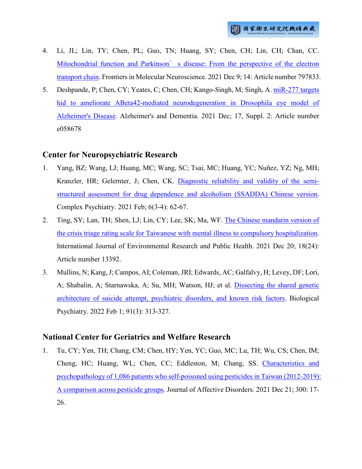- 4. Li, JL; Lin, TY; Chen, PL; Guo, TN; Huang, SY; Chen, CH; Lin, CH; Chan, CC. Mitochondrial function and Parkinson's disease: From the perspective of the electron [transport chain.](http://ir.nhri.org.tw/handle/3990099045/13890) Frontiers in Molecular Neuroscience. 2021 Dec 9; 14: Article number 797833.
- 5. Deshpande, P; Chen, CY; Yeates, C; Chen, CH; Kango-Singh, M; Singh, A. [miR-277 targets](http://ir.nhri.org.tw/handle/3990099045/13891)  [hid to ameliorate ABeta42-mediated neurodegeneration in Drosophila eye model of](http://ir.nhri.org.tw/handle/3990099045/13891)  [Alzheimer's Disease.](http://ir.nhri.org.tw/handle/3990099045/13891) Alzheimer's and Dementia. 2021 Dec; 17, Suppl. 2: Article number e058678

# **Center for Neuropsychiatric Research**

- 1. Yang, BZ; Wang, LJ; Huang, MC; Wang, SC; Tsai, MC; Huang, YC; Nuñez, YZ; Ng, MH; Kranzler, HR; Gelernter, J; Chen, CK. [Diagnostic reliability and validity of the semi](http://ir.nhri.org.tw/handle/3990099045/13905)[structured assessment for drug dependence and alcoholism \(SSADDA\) Chinese version.](http://ir.nhri.org.tw/handle/3990099045/13905) Complex Psychiatry. 2021 Feb; 6(3-4): 62-67.
- 2. Ting, SY; Lan, TH; Shen, LJ; Lin, CY; Lee, SK; Ma, WF. [The Chinese mandarin version of](http://ir.nhri.org.tw/handle/3990099045/13906)  [the crisis triage rating scale for Taiwanese with mental illness to compulsory hospitalization.](http://ir.nhri.org.tw/handle/3990099045/13906) International Journal of Environmental Research and Public Health. 2021 Dec 20; 18(24): Article number 13392.
- 3. Mullins, N; Kang, J; Campos, AI; Coleman, JRI; Edwards, AC; Galfalvy, H; Levey, DF; Lori, A; Shabalin, A; Starnawska, A; Su, MH; Watson, HJ; et al. [Dissecting the shared genetic](http://ir.nhri.org.tw/handle/3990099045/13907)  [architecture of suicide attempt, psychiatric disorders, and known risk factors.](http://ir.nhri.org.tw/handle/3990099045/13907) Biological Psychiatry. 2022 Feb 1; 91(3): 313-327.

#### **National Center for Geriatrics and Welfare Research**

1. Tu, CY; Yen, TH; Chang, CM; Chen, HY; Yen, YC; Guo, MC; Lu, TH; Wu, CS; Chen, IM; Cheng, HC; Huang, WL; Chen, CC; Eddleston, M; Chang, SS. [Characteristics and](http://ir.nhri.org.tw/handle/3990099045/13879)  [psychopathology of 1,086 patients who self-poisoned using pesticides in Taiwan \(2012-2019\):](http://ir.nhri.org.tw/handle/3990099045/13879)  [A comparison across pesticide groups.](http://ir.nhri.org.tw/handle/3990099045/13879) Journal of Affective Disorders. 2021 Dec 21; 300: 17- 26.